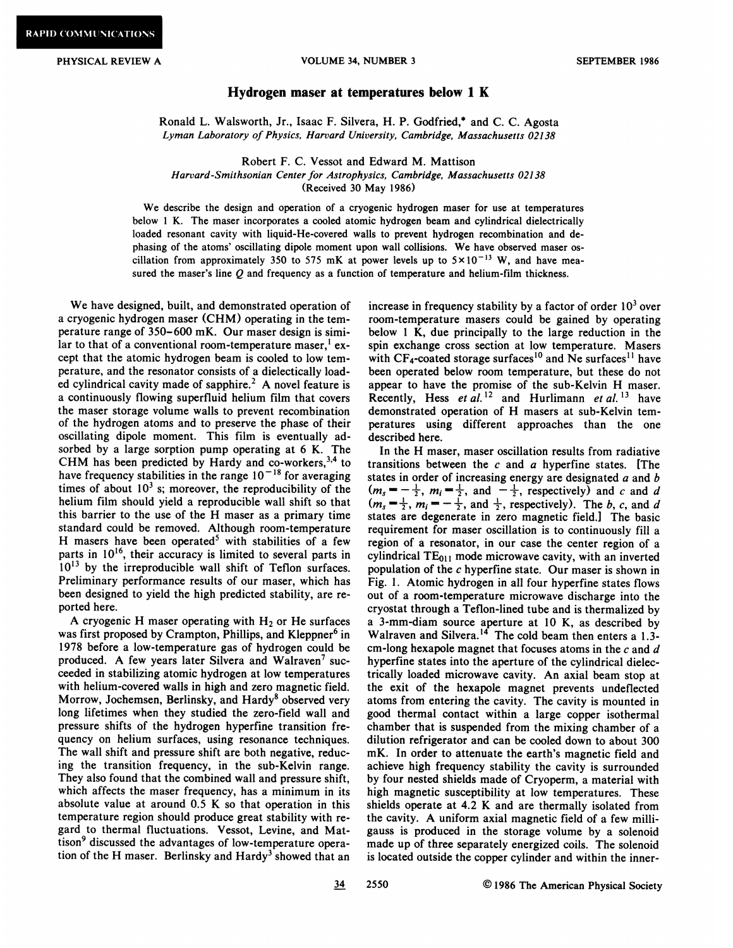## PHYSICAL REVIEW A **VOLUME 34, NUMBER 3** SEPTEMBER 1986

## Hydrogen maser at temperatures below 1 K

Ronald L. Walsworth, Jr., Isaac F. Silvera, H. P. Godfried,<sup>\*</sup> and C. C. Agosta Lyrnan Laboratory of Physics, Harvard University, Cambridge, Massachusetts 02138

Robert F. C. Vessot and Edward M. Mattison

Harvard-Smithsonian Center for Astrophysics, Cambridge, Massachusetts 02138

(Received 30 May 1986)

We describe the design and operation of a cryogenic hydrogen maser for use at temperatures below 1 K. The maser incorporates a cooled atomic hydrogen beam and cylindrical dielectrically loaded resonant cavity with liquid-He-covered walls to prevent hydrogen recombination and dephasing of the atoms' oscillating dipole moment upon wall collisions. We have observed maser oscillation from approximately 350 to 575 mK at power levels up to  $5 \times 10^{-13}$  W, and have measured the maser's line  $Q$  and frequency as a function of temperature and helium-film thickness.

We have designed, built, and demonstrated operation of a cryogenic hydrogen maser (CHM) operating in the temperature range of 350-600 mK. Our maser design is similar to that of a conventional room-temperature maser.<sup>1</sup> except that the atomic hydrogen beam is cooled to low temperature, and the resonator consists of a dielectically loaded cylindrical cavity made of sapphire.<sup>2</sup> A novel feature is a continuously flowing superfluid helium film that covers the maser storage volume walls to prevent recombination of the hydrogen atoms and to preserve the phase of their oscillating dipole moment. This film is eventually adsorbed by a large sorption pump operating at 6 K. The CHM has been predicted by Hardy and co-workers,<sup>3,4</sup> to have frequency stabilities in the range  $10<sup>-18</sup>$  for averaging times of about  $10<sup>3</sup>$  s; moreover, the reproducibility of the helium film should yield a reproducible wall shift so that this barrier to the use of the H maser as a primary time standard could be removed. Although room-temperature H masers have been operated<sup>5</sup> with stabilities of a few parts in  $10^{16}$ , their accuracy is limited to several parts in  $10^{13}$  by the irreproducible wall shift of Teflon surfaces. Preliminary performance results of our maser, which has been designed to yield the high predicted stability, are reported here.

A cryogenic H maser operating with  $H_2$  or He surfaces was first proposed by Crampton, Phillips, and Kleppner<sup>6</sup> in 1978 before a low-temperature gas of hydrogen could be produced. A few years later Silvera and Walraven<sup>7</sup> succeeded in stabilizing atomic hydrogen at low temperatures with helium-covered walls in high and zero magnetic field. Morrow, Jochemsen, Berlinsky, and Hardy<sup>8</sup> observed very long lifetimes when they studied the zero-field wall and pressure shifts of the hydrogen hyperfine transition frequency on helium surfaces, using resonance techniques. The wall shift and pressure shift are both negative, reducing the transition frequency, in the sub-Kelvin range. They also found that the combined wall and pressure shift, which affects the maser frequency, has a minimum in its absolute value at around 0.5 K so that operation in this temperature region should produce great stability with regard to thermal fluctuations. Vessot, Levine, and Mattison<sup>9</sup> discussed the advantages of low-temperature operation of the H maser. Berlinsky and  $Hardy<sup>3</sup>$  showed that an

increase in frequency stability by a factor of order  $10<sup>3</sup>$  over room-temperature masers could be gained by operating below <sup>1</sup> K, due principally to the large reduction in the spin exchange cross section at low temperature. Masers with  $CF_4$ -coated storage surfaces<sup>10</sup> and Ne surfaces<sup>11</sup> have been operated below room temperature, but these do not appear to have the promise of the sub-Kelvin H maser. Recently, Hess et al. <sup>12</sup> and Hurlimann et al. <sup>13</sup> have demonstrated operation of H masers at sub-Kelvin temperatures using different approaches than the one described here.

In the H maser, maser oscillation results from radiative transitions between the  $c$  and  $a$  hyperfine states. [The states in order of increasing energy are designated  $a$  and  $b$ states in order of increasing energy are designated a and b<br> $(m_s = -\frac{1}{2}, m_i = \frac{1}{2},$  and  $-\frac{1}{2}$ , respectively) and c and d  $(m_s = \frac{1}{2}, m_i = -\frac{1}{2})$ , and  $\frac{1}{2}$ , respectively). The b, c, and d<br> $(m_s = \frac{1}{2}, m_i = -\frac{1}{2})$ , and  $\frac{1}{2}$ , respectively). The b, c, and d states are degenerate in zero magnetic field.] The basic requirement for maser oscillation is to continuously fill a region of a resonator, in our case the center region of a cylindrical  $TE_{011}$  mode microwave cavity, with an inverted population of the c hyperfine state. Our maser is shown in Fig. 1. Atomic hydrogen in all four hyperfine states flows out of a room-temperature microwave discharge into the cryostat through a Teflon-lined tube and is thermalized by a 3-mm-diam source aperture at 10 K, as described by Walraven and Silvera.<sup>14</sup> The cold beam then enters a 1.3cm-long hexapole magnet that focuses atoms in the  $c$  and  $d$ hyperfine states into the aperture of the cylindrical dielectrically loaded microwave cavity. An axial beam stop at the exit of the hexapole magnet prevents undeflected atoms from entering the cavity. The cavity is mounted in good thermal contact within a large copper isothermal chamber that is suspended from the mixing chamber of a dilution refrigerator and can be cooled down to about 300 mK. In order to attenuate the earth's magnetic field and achieve high frequency stability the cavity is surrounded by four nested shields made of Cryoperm, a material with high magnetic susceptibility at low temperatures. These shields operate at 4.2 K and are thermally isolated from the cavity. A uniform axial magnetic field of a few milligauss is produced in the storage volume by a solenoid made up of three separately energized coils. The solenoid is located outside the copper cylinder and within the inner-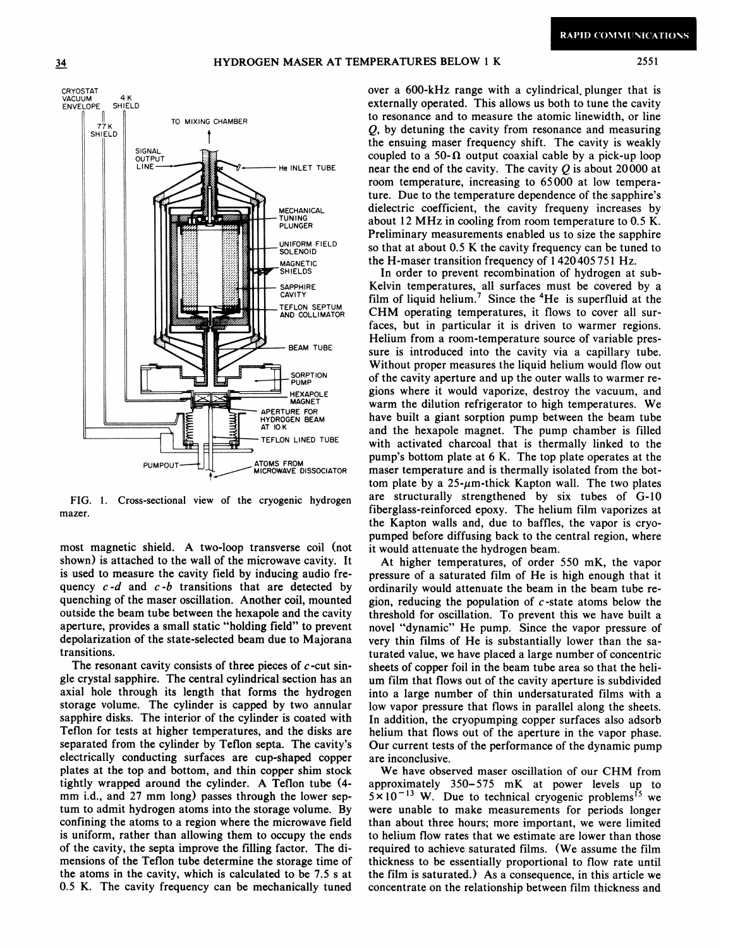2551



FIG. 1. Cross-sectional view of the cryogenic hydrogen mazer.

most magnetic shield. A two-loop transverse coil (not shown) is attached to the wall of the microwave cavity. It is used to measure the cavity field by inducing audio frequency  $c-d$  and  $c-b$  transitions that are detected by quenching of the maser oscillation. Another coil, mounted outside the beam tube between the hexapole and the cavity aperture, provides a small static "holding field" to prevent depolarization of the state-selected beam due to Majorana transitions.

The resonant cavity consists of three pieces of  $c$ -cut single crystal sapphire. The central cylindrical section has an axial hole through its length that forms the hydrogen storage volume. The cylinder is capped by two annular sapphire disks. The interior of the cylinder is coated with Teflon for tests at higher temperatures, and the disks are separated from the cylinder by Teflon septa. The cavity's electrically conducting surfaces are cup-shaped copper plates at the top and bottom, and thin copper shim stock tightly wrapped around the cylinder. A Teflon tube (4mm i.d., and 27 mm long) passes through the lower septum to admit hydrogen atoms into the storage volume. By confining the atoms to a region where the microwave field is uniform, rather than allowing them to occupy the ends of the cavity, the septa improve the filling factor. The dimensions of the Teflon tube determine the storage time of the atoms in the cavity, which is calculated to be 7.5 s at 0.5 K. The cavity frequency can be mechanically tuned

over a 600-kHz range with a cylindrical plunger that is externally operated. This allows us both to tune the cavity to resonance and to measure the atomic linewidth, or line  $Q$ , by detuning the cavity from resonance and measuring the ensuing maser frequency shift. The cavity is weakly coupled to a 50- $\Omega$  output coaxial cable by a pick-up loop near the end of the cavity. The cavity  $Q$  is about 20000 at room temperature, increasing to 65000 at low temperature. Due to the temperature dependence of the sapphire's dielectric coefficient, the cavity frequeny increases by about 12 MHz in cooling from room temperature to 0.5 K. Preliminary measurements enabled us to size the sapphire so that at about 0.5 K the cavity frequency can be tuned to the H-maser transition frequency of 1420405751 Hz.

In order to prevent recombination of hydrogen at sub-Kelvin temperatures, all surfaces must be covered by a film of liquid helium.<sup>7</sup> Since the  ${}^{4}$ He is superfluid at the CHM operating temperatures, it flows to cover all surfaces, but in particular it is driven to warmer regions. Helium from a room-temperature source of variable pressure is introduced into the cavity via a capillary tube. Without proper measures the liquid helium would flow out of the cavity aperture and up the outer walls to warmer regions where it would vaporize, destroy the vacuum, and warm the dilution refrigerator to high temperatures. We have built a giant sorption pump between the beam tube and the hexapole magnet. The pump chamber is filled with activated charcoal that is thermally linked to the pump's bottom plate at 6 K. The top plate operates at the maser temperature and is thermally isolated from the bottom plate by a  $25$ - $\mu$ m-thick Kapton wall. The two plates are structurally strengthened by six tubes of G-10 fiberglass-reinforced epoxy. The helium film vaporizes at the Kapton walls and, due to baffles, the vapor is cryopumped before diffusing back to the central region, where it would attenuate the hydrogen beam.

At higher temperatures, of order 550 mK, the vapor pressure of a saturated film of He is high enough that it ordinarily would attenuate the beam in the beam tube region, reducing the population of  $c$ -state atoms below the threshold for oscillation. To prevent this we have built a novel "dynamic" He pump. Since the vapor pressure of very thin films of He is substantially lower than the saturated value, we have placed a large number of concentric sheets of copper foil in the beam tube area so that the helium film that flows out of the cavity aperture is subdivided into a large number of thin undersaturated films with a low vapor pressure that flows in parallel along the sheets. In addition, the cryopumping copper surfaces also adsorb helium that flows out of the aperture in the vapor phase. Our current tests of the performance of the dynamic pump are inconclusive.

We have observed maser oscillation of our CHM from approximately 350-575 mK at power levels up to  $5 \times 10^{-13}$  W. Due to technical cryogenic problems<sup>15</sup> we were unable to make measurements for periods longer than about three hours; more important, we were limited to helium flow rates that we estimate are lower than those required to achieve saturated films. (We assume the film thickness to be essentially proportional to flow rate until the film is saturated.) As a consequence, in this article we concentrate on the relationship between film thickness and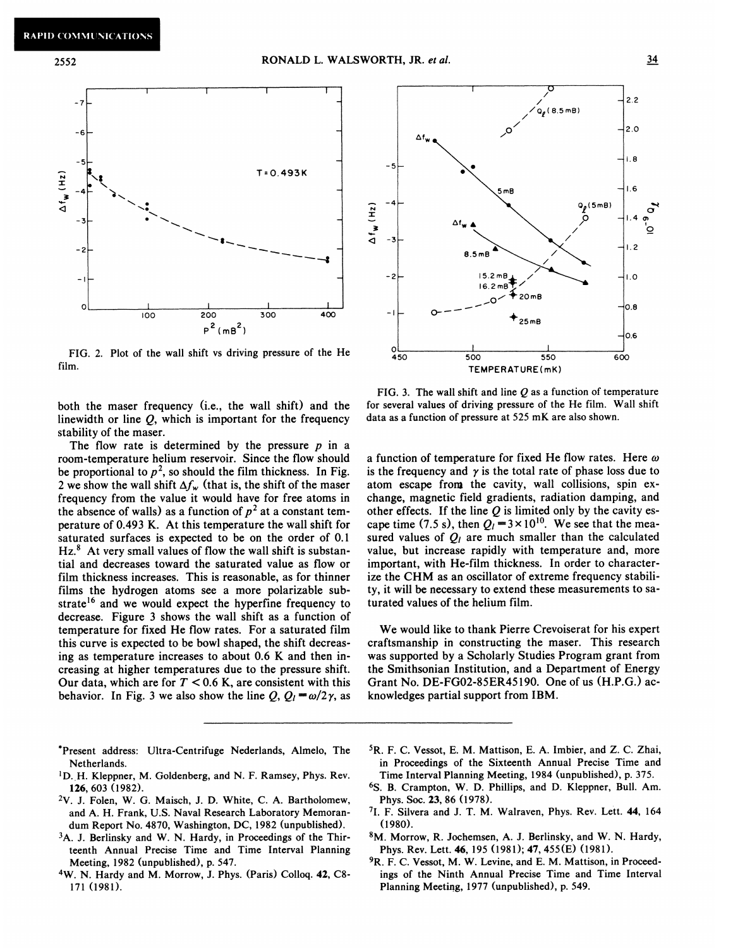2552



FIG. 2. Plot of the wall shift vs driving pressure of the He  $^{0}$  450 film.

both the maser frequency (i.e., the wall shift) and the linewidth or line  $Q$ , which is important for the frequency stability of the maser.

The flow rate is determined by the pressure  $p$  in a room-temperature helium reservoir. Since the flow should be proportional to  $p^2$ , so should the film thickness. In Fig. 2 we show the wall shift  $\Delta f_w$  (that is, the shift of the maser frequency from the value it would have for free atoms in the absence of walls) as a function of  $p^2$  at a constant temperature of 0.493 K. At this temperature the wall shift for saturated surfaces is expected to be on the order of 0.<sup>1</sup>  $Hz<sup>8</sup>$  At very small values of flow the wall shift is substantial and decreases toward the saturated value as flow or film thickness increases. This is reasonable, as for thinner films the hydrogen atoms see a more polarizable substrate<sup>16</sup> and we would expect the hyperfine frequency to decrease. Figure 3 shows the wall shift as a function of temperature for fixed He flow rates. For a saturated film this curve is expected to be bowl shaped, the shift decreasing as temperature increases to about 0.6 K and then increasing at higher temperatures due to the pressure shift Our data, which are for  $T < 0.6$  K, are consistent with this behavior. In Fig. 3 we also show the line Q,  $Q_l = \omega/2\gamma$ , as



FIG. 3. The wall shift and line  $Q$  as a function of temperature for several values of driving pressure of the He film. Wall shift data as a function of pressure at 525 mK are also shown.

a function of temperature for fixed He flow rates. Here  $\omega$ is the frequency and  $\gamma$  is the total rate of phase loss due to atom escape from the cavity, wall collisions, spin exchange, magnetic field gradients, radiation damping, and other effects. If the line  $Q$  is limited only by the cavity escape time (7.5 s), then  $Q_1 = 3 \times 10^{10}$ . We see that the measured values of  $Q_i$  are much smaller than the calculated value, but increase rapidly with temperature and, more important, with He-film thickness. In order to characterize the CHM as an oscillator of extreme frequency stability, it will be necessary to extend these measurements to saturated values of the helium film.

We would like to thank Pierre Crevoiserat for his expert craftsmanship in constructing the maser. This research was supported by a Scholarly Studies Program grant from the Smithsonian Institution, and a Department of Energy Grant No. DE-FG02-85ER45190. One of us (H.P.G.) acknowledges partial support from IBM.

- 'Present address: Ultra-Centrifuge Nederlands, Almelo, The Netherlands.
- 'D. H. Kleppner, M. Goldenberg, and N. F. Ramsey, Phys. Rev. 126, 603 (1982).
- 2V. J. Folen, W. G. Maisch, J. D. White, C. A. Bartholomew, and A. H. Frank, U.S. Naval Research Laboratory Memorandum Report No. 4870, Washington, DC, 1982 (unpublished).
- <sup>3</sup>A. J. Berlinsky and W. N. Hardy, in Proceedings of the Thirteenth Annual Precise Time and Time Interval Planning Meeting, 1982 (unpublished), p. 547.
- 4W. N. Hardy and M. Morrow, J. Phys. (Paris) Colloq. 42, C8- 171 (1981).
- 5R. F. C. Vessot, E. M. Mattison, E. A. Imbier, and Z. C. Zhai, in Proceedings of the Sixteenth Annual Precise Time and Time Interval Planning Meeting, 1984 (unpublished), p. 375.
- 6S. B. Crampton, %. D. Phillips, and D. Kleppner, Bull. Am. Phys. Soc. 23, 86 (1978).
- <sup>7</sup>I. F. Silvera and J. T. M. Walraven, Phys. Rev. Lett. 44, 164 (1980).
- 8M. Morrow, R. Jochemsen, A. J. Berlinsky, and W. N. Hardy, Phys. Rev. Lett. 46, 195 (1981); 47, 455(E) (1981).
- <sup>9</sup>R. F. C. Vessot, M. W. Levine, and E. M. Mattison, in Proceedings of the Ninth Annual Precise Time and Time Interval Planning Meeting, 1977 (unpublished), p. 549.